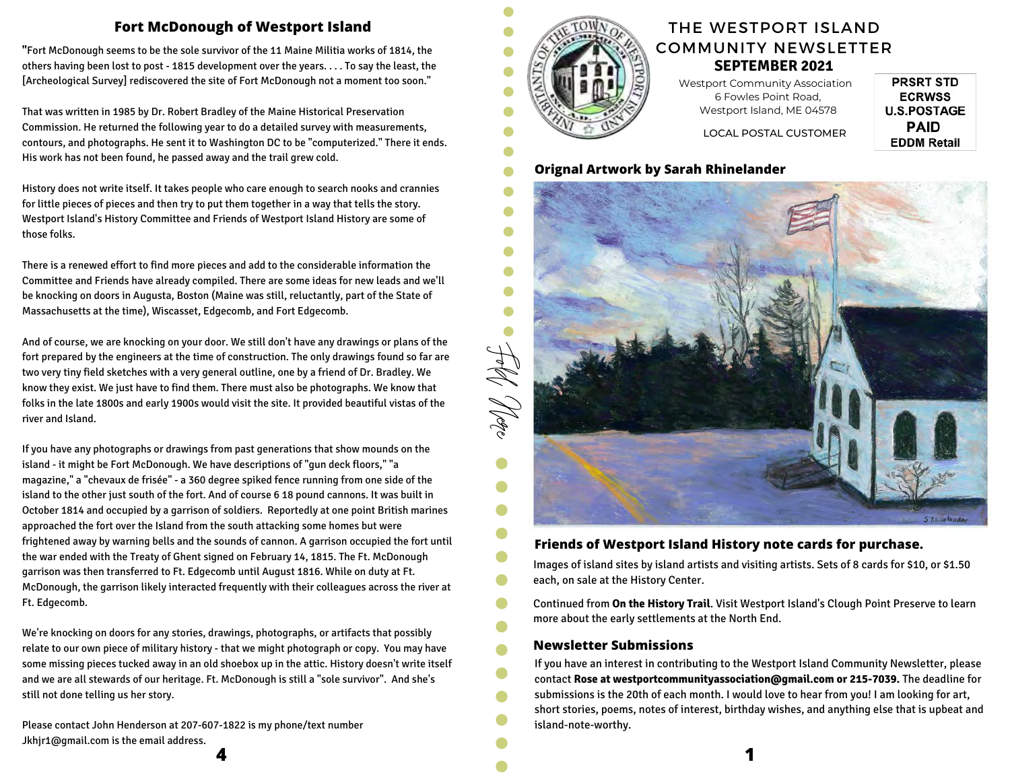# **Fort McDonough of Westport Island**

**"**Fort McDonough seems to be the sole survivor of the 11 Maine Militia works of 1814, the others having been lost to post - 1815 development over the years. . . . To say the least, the [Archeological Survey] rediscovered the site of Fort McDonough not a moment too soon."

That was written in 1985 by Dr. Robert Bradley of the Maine Historical Preservation Commission. He returned the following year to do a detailed survey with measurements, contours, and photographs. He sent it to Washington DC to be "computerized." There it ends. His work has not been found, he passed away and the trail grew cold.

History does not write itself. It takes people who care enough to search nooks and crannies for little pieces of pieces and then try to put them together in a way that tells the story. Westport Island's History Committee and Friends of Westport Island History are some of those folks.

There is a renewed effort to find more pieces and add to the considerable information the Committee and Friends have already compiled. There are some ideas for new leads and we'll be knocking on doors in Augusta, Boston (Maine was still, reluctantly, part of the State of Massachusetts at the time), Wiscasset, Edgecomb, and Fort Edgecomb.

And of course, we are knocking on your door. We still don't have any drawings or plans of the fort prepared by the engineers at the time of construction. The only drawings found so far are two very tiny field sketches with a very general outline, one by a friend of Dr. Bradley. We know they exist. We just have to find them. There must also be photographs. We know that folks in the late 1800s and early 1900s would visit the site. It provided beautiful vistas of the river and Island.

If you have any photographs or drawings from past generations that show mounds on the island - it might be Fort McDonough. We have descriptions of "gun deck floors," "a magazine," a "chevaux de frisée" - a 360 degree spiked fence running from one side of the island to the other just south of the fort. And of course 6 18 pound cannons. It was built in October 1814 and occupied by a garrison of soldiers. Reportedly at one point British marines approached the fort over the Island from the south attacking some homes but were frightened away by warning bells and the sounds of cannon. A garrison occupied the fort until the war ended with the Treaty of Ghent signed on February 14, 1815. The Ft. McDonough garrison was then transferred to Ft. Edgecomb until August 1816. While on duty at Ft. McDonough, the garrison likely interacted frequently with their colleagues across the river at Ft. Edgecomb.

We're knocking on doors for any stories, drawings, photographs, or artifacts that possibly relate to our own piece of military history - that we might photograph or copy. You may have some missing pieces tucked away in an old shoebox up in the attic. History doesn't write itself and we are all stewards of our heritage. Ft. McDonough is still a "sole survivor". And she's still not done telling us her story.

**4 1** Please contact John Henderson at 207-607-1822 is my phone/text number Jkhjr1@gmail.com is the email address.



Ċ

Ê

 $\bullet$  $\bullet$ A  $\blacksquare$ 

O  $\bullet$ 

# **SEPTEMBER 2021** THE WESTPORT ISLAND COMMUNITY NEWSLETTER

**PRSRT STD ECRWSS U.S.POSTAGE PAID EDDM Retail** 

Westport Community Association 6 Fowles Point Road, Westport Island, ME 04578

LOCAL POSTAL CUSTOMER

## **Orignal Artwork by Sarah Rhinelander**



## **Friends of Westport Island History note cards for purchase.**

Images of island sites by island artists and visiting artists. Sets of 8 cards for \$10, or \$1.50 each, on sale at the History Center.

Continued from **On the History Trail**. Visit Westport Island's Clough Point Preserve to learn more about the early settlements at the North End.

### **Newsletter Submissions**

If you have an interest in contributing to the Westport Island Community Newsletter, please contact **Rose at westportcommunityassociation@gmail.com or 215-7039.** The deadline for submissions is the 20th of each month. I would love to hear from you! I am looking for art, short stories, poems, notes of interest, birthday wishes, and anything else that is upbeat and island-note-worthy.